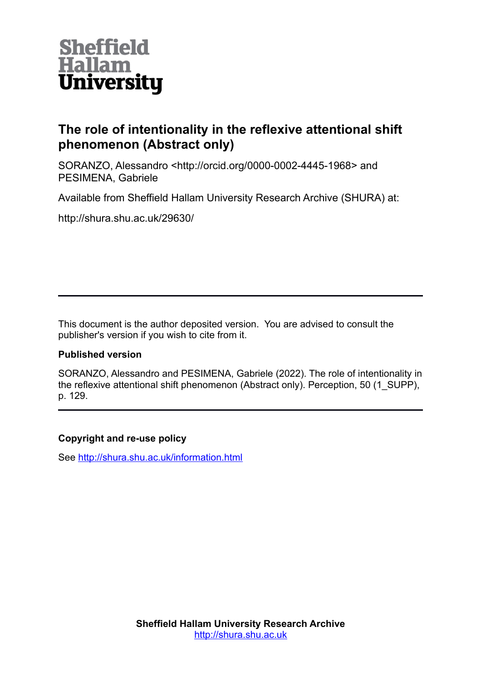

## **The role of intentionality in the reflexive attentional shift phenomenon (Abstract only)**

SORANZO, Alessandro <http://orcid.org/0000-0002-4445-1968> and PESIMENA, Gabriele

Available from Sheffield Hallam University Research Archive (SHURA) at:

http://shura.shu.ac.uk/29630/

This document is the author deposited version. You are advised to consult the publisher's version if you wish to cite from it.

#### **Published version**

SORANZO, Alessandro and PESIMENA, Gabriele (2022). The role of intentionality in the reflexive attentional shift phenomenon (Abstract only). Perception, 50 (1\_SUPP), p. 129.

#### **Copyright and re-use policy**

See<http://shura.shu.ac.uk/information.html>